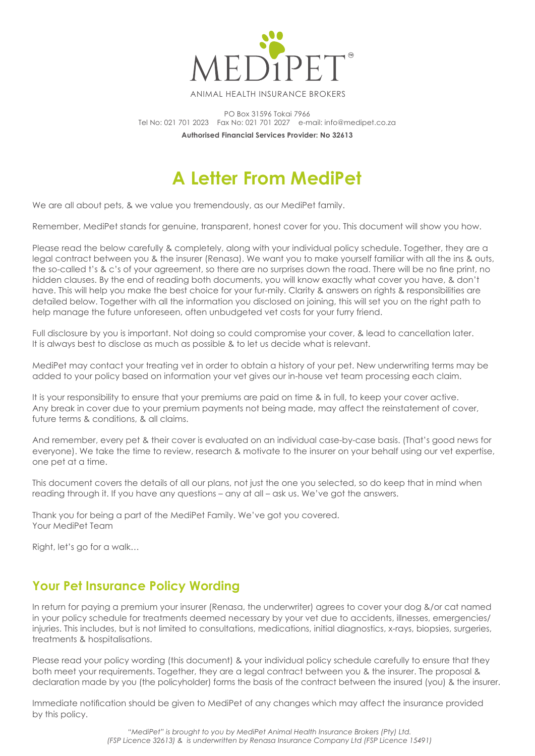

ANIMAL HEALTH INSURANCE BROKERS

PO Box 31596 Tokai 7966 Tel No: 021 701 2023 Fax No: 021 701 2027 e-mail: info@medipet.co.za **Authorised Financial Services Provider: No 32613**

# **A Letter From MediPet**

We are all about pets, & we value you tremendously, as our MediPet family.

Remember, MediPet stands for genuine, transparent, honest cover for you. This document will show you how.

Please read the below carefully & completely, along with your individual policy schedule. Together, they are a legal contract between you & the insurer (Renasa). We want you to make yourself familiar with all the ins & outs, the so-called t's & c's of your agreement, so there are no surprises down the road. There will be no fine print, no hidden clauses. By the end of reading both documents, you will know exactly what cover you have, & don't have. This will help you make the best choice for your fur-mily. Clarity & answers on rights & responsibilities are detailed below. Together with all the information you disclosed on joining, this will set you on the right path to help manage the future unforeseen, often unbudgeted vet costs for your furry friend.

Full disclosure by you is important. Not doing so could compromise your cover, & lead to cancellation later. It is always best to disclose as much as possible & to let us decide what is relevant.

MediPet may contact your treating vet in order to obtain a history of your pet. New underwriting terms may be added to your policy based on information your vet gives our in-house vet team processing each claim.

It is your responsibility to ensure that your premiums are paid on time & in full, to keep your cover active. Any break in cover due to your premium payments not being made, may affect the reinstatement of cover, future terms & conditions, & all claims.

And remember, every pet & their cover is evaluated on an individual case-by-case basis. (That's good news for everyone). We take the time to review, research & motivate to the insurer on your behalf using our vet expertise, one pet at a time.

This document covers the details of all our plans, not just the one you selected, so do keep that in mind when reading through it. If you have any questions – any at all – ask us. We've got the answers.

Thank you for being a part of the MediPet Family. We've got you covered. Your MediPet Team

Right, let's go for a walk…

## **Your Pet Insurance Policy Wording**

In return for paying a premium your insurer (Renasa, the underwriter) agrees to cover your dog &/or cat named in your policy schedule for treatments deemed necessary by your vet due to accidents, illnesses, emergencies/ injuries. This includes, but is not limited to consultations, medications, initial diagnostics, x-rays, biopsies, surgeries, treatments & hospitalisations.

Please read your policy wording (this document) & your individual policy schedule carefully to ensure that they both meet your requirements. Together, they are a legal contract between you & the insurer. The proposal & declaration made by you (the policyholder) forms the basis of the contract between the insured (you) & the insurer.

Immediate notification should be given to MediPet of any changes which may affect the insurance provided by this policy.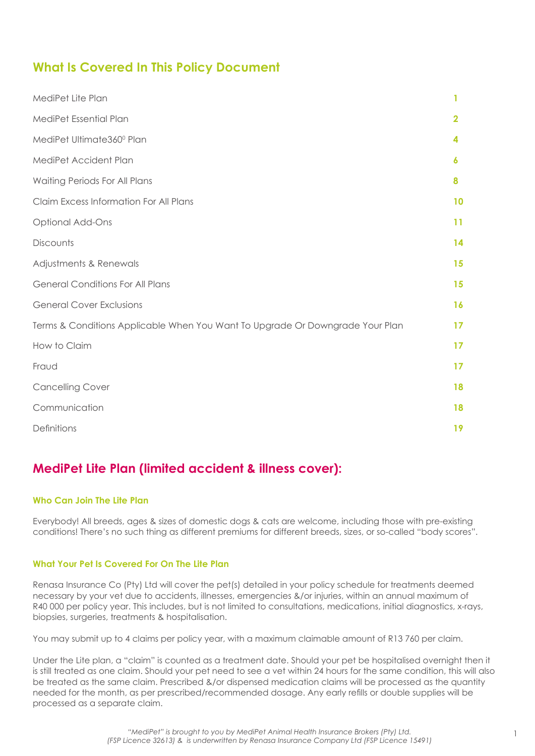## **What Is Covered In This Policy Document**

| MediPet Lite Plan                                                             |                |
|-------------------------------------------------------------------------------|----------------|
| MediPet Essential Plan                                                        | $\overline{2}$ |
| MediPet Ultimate360° Plan                                                     | 4              |
| MediPet Accident Plan                                                         | 6              |
| Waiting Periods For All Plans                                                 | 8              |
| Claim Excess Information For All Plans                                        | 10             |
| <b>Optional Add-Ons</b>                                                       | 11             |
| Discounts                                                                     | 14             |
| Adjustments & Renewals                                                        | 15             |
| <b>General Conditions For All Plans</b>                                       | 15             |
| <b>General Cover Exclusions</b>                                               | 16             |
| Terms & Conditions Applicable When You Want To Upgrade Or Downgrade Your Plan | 17             |
| How to Claim                                                                  | 17             |
| Fraud                                                                         | 17             |
| <b>Cancelling Cover</b>                                                       | 18             |
| Communication                                                                 | 18             |
| Definitions                                                                   | 19             |

## **MediPet Lite Plan (limited accident & illness cover):**

## **Who Can Join The Lite Plan**

Everybody! All breeds, ages & sizes of domestic dogs & cats are welcome, including those with pre-existing conditions! There's no such thing as different premiums for different breeds, sizes, or so-called "body scores".

## **What Your Pet Is Covered For On The Lite Plan**

Renasa Insurance Co (Pty) Ltd will cover the pet(s) detailed in your policy schedule for treatments deemed necessary by your vet due to accidents, illnesses, emergencies &/or injuries, within an annual maximum of R40 000 per policy year. This includes, but is not limited to consultations, medications, initial diagnostics, x-rays, biopsies, surgeries, treatments & hospitalisation.

You may submit up to 4 claims per policy year, with a maximum claimable amount of R13 760 per claim.

Under the Lite plan, a "claim" is counted as a treatment date. Should your pet be hospitalised overnight then it is still treated as one claim. Should your pet need to see a vet within 24 hours for the same condition, this will also be treated as the same claim. Prescribed &/or dispensed medication claims will be processed as the quantity needed for the month, as per prescribed/recommended dosage. Any early refills or double supplies will be processed as a separate claim.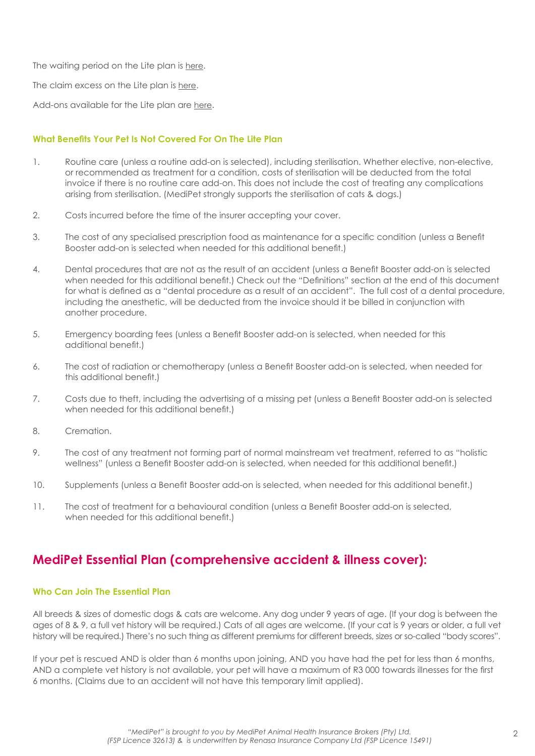<span id="page-2-0"></span>The waiting period on the Lite plan is here.

The claim excess on the Lite plan is here.

Add-ons available for the Lite plan are here.

### **What Benefits Your Pet Is Not Covered For On The Lite Plan**

- 1. Routine care (unless a routine add-on is selected), including sterilisation. Whether elective, non-elective, or recommended as treatment for a condition, costs of sterilisation will be deducted from the total invoice if there is no routine care add-on. This does not include the cost of treating any complications arising from sterilisation. (MediPet strongly supports the sterilisation of cats & dogs.)
- 2. Costs incurred before the time of the insurer accepting your cover.
- 3. The cost of any specialised prescription food as maintenance for a specific condition (unless a Benefit Booster add-on is selected when needed for this additional benefit.)
- 4. Dental procedures that are not as the result of an accident (unless a Benefit Booster add-on is selected when needed for this additional benefit.) Check out the "Definitions" section at the end of this document for what is defined as a "dental procedure as a result of an accident". The full cost of a dental procedure, including the anesthetic, will be deducted from the invoice should it be billed in conjunction with another procedure.
- 5. Emergency boarding fees (unless a Benefit Booster add-on is selected, when needed for this additional benefit.)
- 6. The cost of radiation or chemotherapy (unless a Benefit Booster add-on is selected, when needed for this additional benefit.)
- 7. Costs due to theft, including the advertising of a missing pet (unless a Benefit Booster add-on is selected when needed for this additional benefit.)
- 8. Cremation.
- 9. The cost of any treatment not forming part of normal mainstream vet treatment, referred to as "holistic wellness" (unless a Benefit Booster add-on is selected, when needed for this additional benefit.)
- 10. Supplements (unless a Benefit Booster add-on is selected, when needed for this additional benefit.)
- 11. The cost of treatment for a behavioural condition (unless a Benefit Booster add-on is selected, when needed for this additional benefit.)

## **MediPet Essential Plan (comprehensive accident & illness cover):**

### **Who Can Join The Essential Plan**

All breeds & sizes of domestic dogs & cats are welcome. Any dog under 9 years of age. (If your dog is between the ages of 8 & 9, a full vet history will be required.) Cats of all ages are welcome. (If your cat is 9 years or older, a full vet history will be required.) There's no such thing as different premiums for different breeds, sizes or so-called "body scores".

If your pet is rescued AND is older than 6 months upon joining, AND you have had the pet for less than 6 months, AND a complete vet history is not available, your pet will have a maximum of R3 000 towards illnesses for the first 6 months. (Claims due to an accident will not have this temporary limit applied).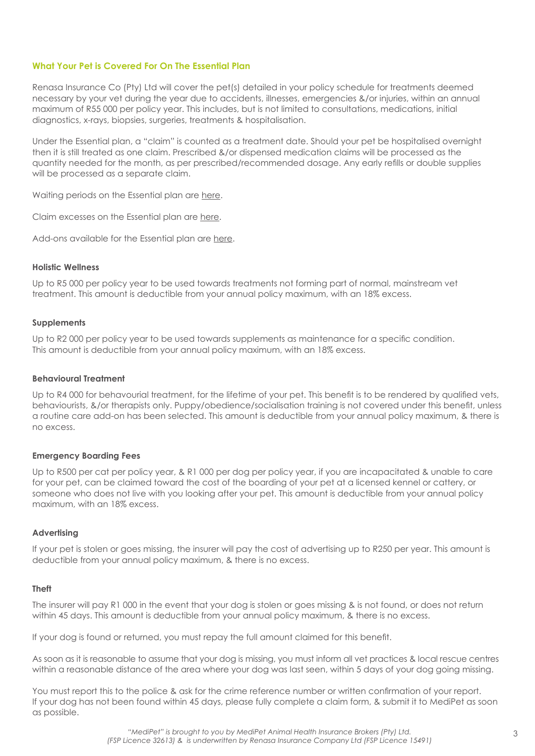### **What Your Pet is Covered For On The Essential Plan**

Renasa Insurance Co (Pty) Ltd will cover the pet(s) detailed in your policy schedule for treatments deemed necessary by your vet during the year due to accidents, illnesses, emergencies &/or injuries, within an annual maximum of R55 000 per policy year. This includes, but is not limited to consultations, medications, initial diagnostics, x-rays, biopsies, surgeries, treatments & hospitalisation.

Under the Essential plan, a "claim" is counted as a treatment date. Should your pet be hospitalised overnight then it is still treated as one claim. Prescribed &/or dispensed medication claims will be processed as the quantity needed for the month, as per prescribed/recommended dosage. Any early refills or double supplies will be processed as a separate claim.

Waiting periods on the Essential plan are here.

Claim excesses on the Essential plan are here.

Add-ons available for the Essential plan are here.

#### **Holistic Wellness**

Up to R5 000 per policy year to be used towards treatments not forming part of normal, mainstream vet treatment. This amount is deductible from your annual policy maximum, with an 18% excess.

#### **Supplements**

Up to R2 000 per policy year to be used towards supplements as maintenance for a specific condition. This amount is deductible from your annual policy maximum, with an 18% excess.

#### **Behavioural Treatment**

Up to R4 000 for behavourial treatment, for the lifetime of your pet. This benefit is to be rendered by qualified vets, behaviourists, &/or therapists only. Puppy/obedience/socialisation training is not covered under this benefit, unless a routine care add-on has been selected. This amount is deductible from your annual policy maximum, & there is no excess.

#### **Emergency Boarding Fees**

Up to R500 per cat per policy year, & R1 000 per dog per policy year, if you are incapacitated & unable to care for your pet, can be claimed toward the cost of the boarding of your pet at a licensed kennel or cattery, or someone who does not live with you looking after your pet. This amount is deductible from your annual policy maximum, with an 18% excess.

#### **Advertising**

If your pet is stolen or goes missing, the insurer will pay the cost of advertising up to R250 per year. This amount is deductible from your annual policy maximum, & there is no excess.

#### **Theft**

The insurer will pay R1 000 in the event that your dog is stolen or goes missing & is not found, or does not return within 45 days. This amount is deductible from your annual policy maximum, & there is no excess.

If your dog is found or returned, you must repay the full amount claimed for this benefit.

As soon as it is reasonable to assume that your dog is missing, you must inform all vet practices & local rescue centres within a reasonable distance of the area where your dog was last seen, within 5 days of your dog going missing.

You must report this to the police & ask for the crime reference number or written confirmation of your report. If your dog has not been found within 45 days, please fully complete a claim form, & submit it to MediPet as soon as possible.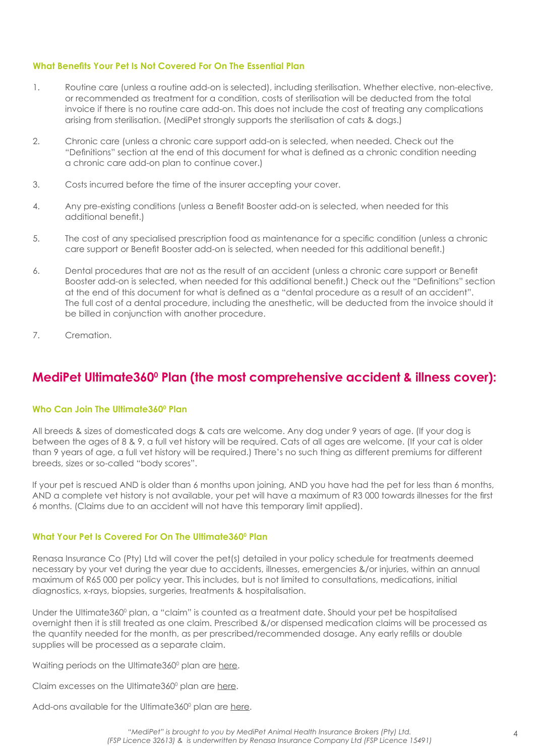### <span id="page-4-0"></span>**What Benefits Your Pet Is Not Covered For On The Essential Plan**

- 1. Routine care (unless a routine add-on is selected), including sterilisation. Whether elective, non-elective, or recommended as treatment for a condition, costs of sterilisation will be deducted from the total invoice if there is no routine care add-on. This does not include the cost of treating any complications arising from sterilisation. (MediPet strongly supports the sterilisation of cats & dogs.)
- 2. Chronic care (unless a chronic care support add-on is selected, when needed. Check out the "Definitions" section at the end of this document for what is defined as a chronic condition needing a chronic care add-on plan to continue cover.)
- 3. Costs incurred before the time of the insurer accepting your cover.
- 4. Any pre-existing conditions (unless a Benefit Booster add-on is selected, when needed for this additional benefit.)
- 5. The cost of any specialised prescription food as maintenance for a specific condition (unless a chronic care support or Benefit Booster add-on is selected, when needed for this additional benefit.)
- 6. Dental procedures that are not as the result of an accident (unless a chronic care support or Benefit Booster add-on is selected, when needed for this additional benefit.) Check out the "Definitions" section at the end of this document for what is defined as a "dental procedure as a result of an accident". The full cost of a dental procedure, including the anesthetic, will be deducted from the invoice should it be billed in conjunction with another procedure.
- 7. Cremation.

## **MediPet Ultimate360<sup>0</sup> Plan (the most comprehensive accident & illness cover):**

### **Who Can Join The Ultimate3600 Plan**

All breeds & sizes of domesticated dogs & cats are welcome. Any dog under 9 years of age. (If your dog is between the ages of 8 & 9, a full vet history will be required. Cats of all ages are welcome. (If your cat is older than 9 years of age, a full vet history will be required.) There's no such thing as different premiums for different breeds, sizes or so-called "body scores".

If your pet is rescued AND is older than 6 months upon joining, AND you have had the pet for less than 6 months, AND a complete vet history is not available, your pet will have a maximum of R3 000 towards illnesses for the first 6 months. (Claims due to an accident will not have this temporary limit applied).

### **What Your Pet Is Covered For On The Ultimate3600 Plan**

Renasa Insurance Co (Pty) Ltd will cover the pet(s) detailed in your policy schedule for treatments deemed necessary by your vet during the year due to accidents, illnesses, emergencies &/or injuries, within an annual maximum of R65 000 per policy year. This includes, but is not limited to consultations, medications, initial diagnostics, x-rays, biopsies, surgeries, treatments & hospitalisation.

Under the Ultimate360º plan, a "claim" is counted as a treatment date. Should your pet be hospitalised overnight then it is still treated as one claim. Prescribed &/or dispensed medication claims will be processed as the quantity needed for the month, as per prescribed/recommended dosage. Any early refills or double supplies will be processed as a separate claim.

Waiting periods on the Ultimate360° plan are here.

Claim excesses on the Ultimate360<sup>°</sup> plan are here.

Add-ons available for the Ultimate360º plan are <u>here</u>.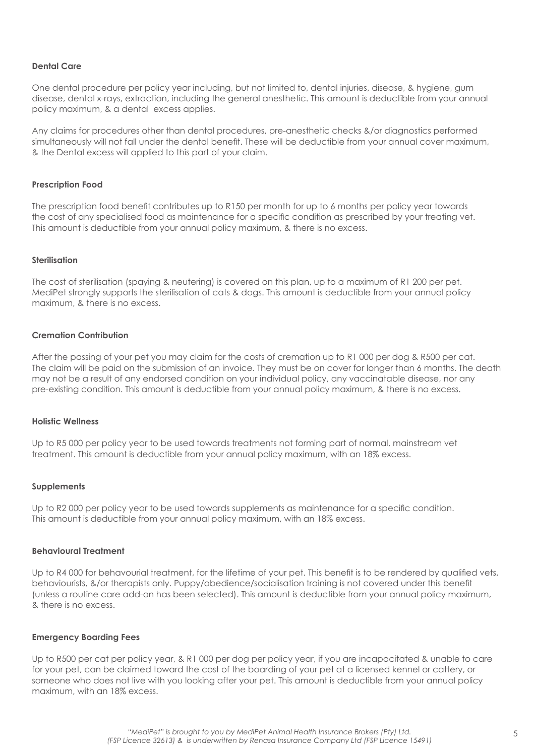#### **Dental Care**

One dental procedure per policy year including, but not limited to, dental injuries, disease, & hygiene, gum disease, dental x-rays, extraction, including the general anesthetic. This amount is deductible from your annual policy maximum, & a dental excess applies.

Any claims for procedures other than dental procedures, pre-anesthetic checks &/or diagnostics performed simultaneously will not fall under the dental benefit. These will be deductible from your annual cover maximum, & the Dental excess will applied to this part of your claim.

#### **Prescription Food**

The prescription food benefit contributes up to R150 per month for up to 6 months per policy year towards the cost of any specialised food as maintenance for a specific condition as prescribed by your treating vet. This amount is deductible from your annual policy maximum, & there is no excess.

#### **Sterilisation**

The cost of sterilisation (spaying & neutering) is covered on this plan, up to a maximum of R1 200 per pet. MediPet strongly supports the sterilisation of cats & dogs. This amount is deductible from your annual policy maximum, & there is no excess.

### **Cremation Contribution**

After the passing of your pet you may claim for the costs of cremation up to R1 000 per dog & R500 per cat. The claim will be paid on the submission of an invoice. They must be on cover for longer than 6 months. The death may not be a result of any endorsed condition on your individual policy, any vaccinatable disease, nor any pre-existing condition. This amount is deductible from your annual policy maximum, & there is no excess.

#### **Holistic Wellness**

Up to R5 000 per policy year to be used towards treatments not forming part of normal, mainstream vet treatment. This amount is deductible from your annual policy maximum, with an 18% excess.

#### **Supplements**

Up to R2000 per policy year to be used towards supplements as maintenance for a specific condition. This amount is deductible from your annual policy maximum, with an 18% excess.

#### **Behavioural Treatment**

Up to R4 000 for behavourial treatment, for the lifetime of your pet. This benefit is to be rendered by qualified vets, behaviourists, &/or therapists only. Puppy/obedience/socialisation training is not covered under this benefit (unless a routine care add-on has been selected). This amount is deductible from your annual policy maximum, & there is no excess.

#### **Emergency Boarding Fees**

Up to R500 per cat per policy year, & R1 000 per dog per policy year, if you are incapacitated & unable to care for your pet, can be claimed toward the cost of the boarding of your pet at a licensed kennel or cattery, or someone who does not live with you looking after your pet. This amount is deductible from your annual policy maximum, with an 18% excess.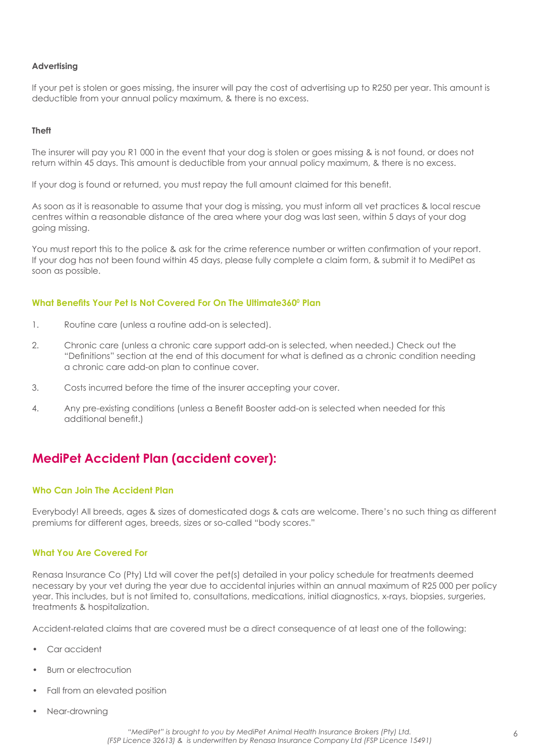#### <span id="page-6-0"></span>**Advertising**

If your pet is stolen or goes missing, the insurer will pay the cost of advertising up to R250 per year. This amount is deductible from your annual policy maximum, & there is no excess.

#### **Theft**

The insurer will pay you R1 000 in the event that your dog is stolen or goes missing & is not found, or does not return within 45 days. This amount is deductible from your annual policy maximum, & there is no excess.

If your dog is found or returned, you must repay the full amount claimed for this benefit.

As soon as it is reasonable to assume that your dog is missing, you must inform all vet practices & local rescue centres within a reasonable distance of the area where your dog was last seen, within 5 days of your dog going missing.

You must report this to the police & ask for the crime reference number or written confirmation of your report. If your dog has not been found within 45 days, please fully complete a claim form, & submit it to MediPet as soon as possible.

### **What Benefits Your Pet Is Not Covered For On The Ultimate360<sup>0</sup> Plan**

- 1. Routine care (unless a routine add-on is selected).
- 2. Chronic care (unless a chronic care support add-on is selected, when needed.) Check out the "Definitions" section at the end of this document for what is defined as a chronic condition needing a chronic care add-on plan to continue cover.
- 3. Costs incurred before the time of the insurer accepting your cover.
- 4. Any pre-existing conditions (unless a Benefit Booster add-on is selected when needed for this additional benefit.)

## **MediPet Accident Plan (accident cover):**

### **Who Can Join The Accident Plan**

Everybody! All breeds, ages & sizes of domesticated dogs & cats are welcome. There's no such thing as different premiums for different ages, breeds, sizes or so-called "body scores."

### **What You Are Covered For**

Renasa Insurance Co (Pty) Ltd will cover the pet(s) detailed in your policy schedule for treatments deemed necessary by your vet during the year due to accidental injuries within an annual maximum of R25 000 per policy year. This includes, but is not limited to, consultations, medications, initial diagnostics, x-rays, biopsies, surgeries, treatments & hospitalization.

Accident-related claims that are covered must be a direct consequence of at least one of the following:

- Car accident
- Burn or electrocution
- Fall from an elevated position
- Near-drowning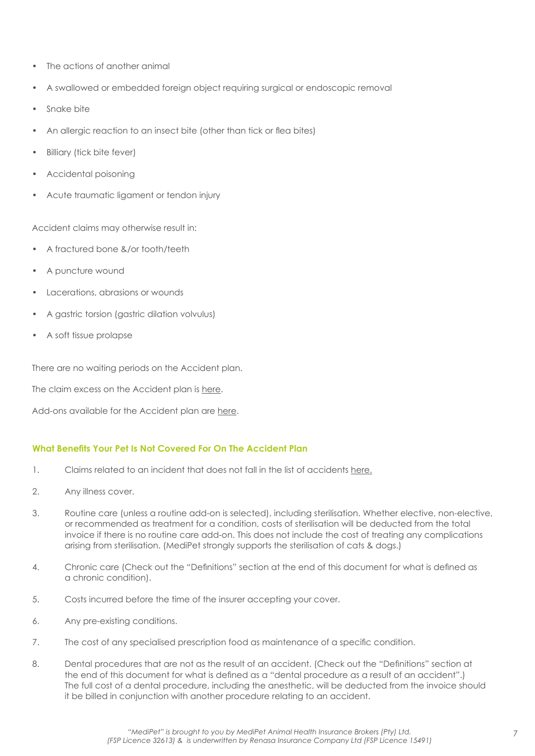- The actions of another animal
- A swallowed or embedded foreign object requiring surgical or endoscopic removal
- Snake bite
- An allergic reaction to an insect bite (other than tick or flea bites)
- **Billiary (tick bite fever)**
- Accidental poisoning
- Acute traumatic ligament or tendon injury

Accident claims may otherwise result in:

- A fractured bone &/or tooth/teeth
- A puncture wound
- Lacerations, abrasions or wounds
- A gastric torsion (gastric dilation volvulus)
- A soft tissue prolapse

There are no waiting periods on the Accident plan.

The claim excess on the Accident plan is here.

Add-ons available for the Accident plan are here.

## **What Benefits Your Pet Is Not Covered For On The Accident Plan**

- 1. Claims related to an incident that does not fall in the list of accidents here.
- 2. Any illness cover.
- 3. Routine care (unless a routine add-on is selected), including sterilisation. Whether elective, non-elective, or recommended as treatment for a condition, costs of sterilisation will be deducted from the total invoice if there is no routine care add-on. This does not include the cost of treating any complications arising from sterilisation. (MediPet strongly supports the sterilisation of cats & dogs.)
- 4. Chronic care (Check out the "Definitions" section at the end of this document for what is defined as a chronic condition).
- 5. Costs incurred before the time of the insurer accepting your cover.
- 6. Any pre-existing conditions.
- 7. The cost of any specialised prescription food as maintenance of a specific condition.
- 8. Dental procedures that are not as the result of an accident. (Check out the "Definitions" section at the end of this document for what is defined as a "dental procedure as a result of an accident".) The full cost of a dental procedure, including the anesthetic, will be deducted from the invoice should it be billed in conjunction with another procedure relating to an accident.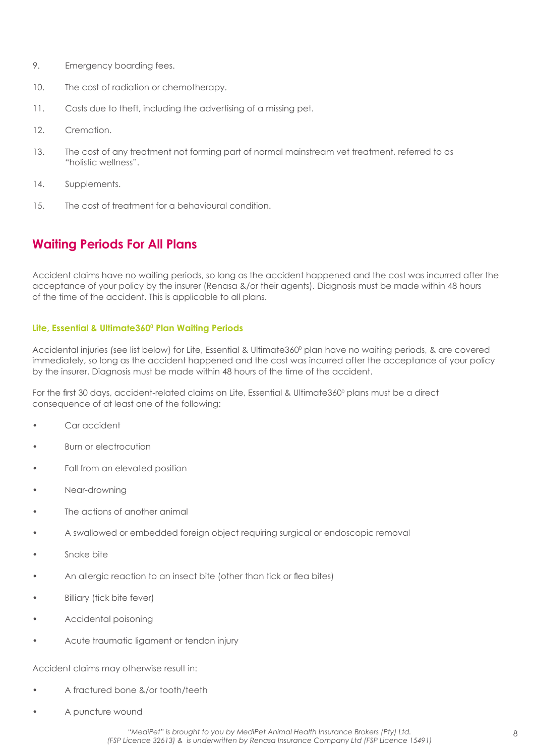- <span id="page-8-0"></span>9. Emergency boarding fees.
- 10. The cost of radiation or chemotherapy.
- 11. Costs due to theft, including the advertising of a missing pet.
- 12. Cremation.
- 13. The cost of any treatment not forming part of normal mainstream vet treatment, referred to as "holistic wellness".
- 14. Supplements.
- 15. The cost of treatment for a behavioural condition.

## **Waiting Periods For All Plans**

Accident claims have no waiting periods, so long as the accident happened and the cost was incurred after the acceptance of your policy by the insurer (Renasa &/or their agents). Diagnosis must be made within 48 hours of the time of the accident. This is applicable to all plans.

### Lite, Essential & Ultimate360<sup>°</sup> Plan Waiting Periods

Accidental injuries (see list below) for Lite, Essential & Ultimate360° plan have no waiting periods, & are covered immediately, so long as the accident happened and the cost was incurred after the acceptance of your policy by the insurer. Diagnosis must be made within 48 hours of the time of the accident.

For the first 30 days, accident-related claims on Lite, Essential & Ultimate360º plans must be a direct consequence of at least one of the following:

- Car accident
- Burn or electrocution
- Fall from an elevated position
- Near-drowning
- The actions of another animal
- A swallowed or embedded foreign object requiring surgical or endoscopic removal
- Snake bite
- An allergic reaction to an insect bite (other than tick or flea bites)
- **Billiary (tick bite fever)**
- Accidental poisoning
- Acute traumatic ligament or tendon injury

Accident claims may otherwise result in:

- A fractured bone &/or tooth/teeth
- A puncture wound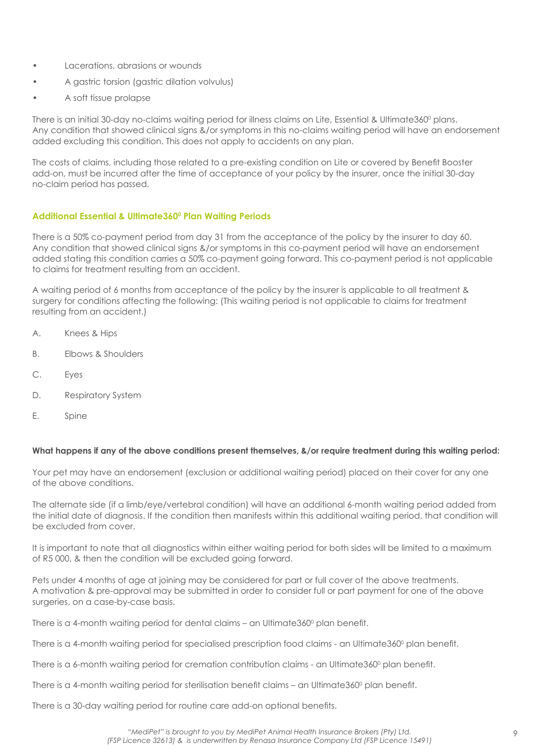- Lacerations, abrasions or wounds
- A gastric torsion (gastric dilation volvulus)
- A soft tissue prolapse

There is an initial 30-day no-claims waiting period for illness claims on Lite, Essential & Ultimate360º plans. Any condition that showed clinical signs &/or symptoms in this no-claims waiting period will have an endorsement added excluding this condition. This does not apply to accidents on any plan.

The costs of claims, including those related to a pre-existing condition on Lite or covered by Benefit Booster add-on, must be incurred after the time of acceptance of your policy by the insurer, once the initial 30-day no-claim period has passed.

## **Additional Essential & Ultimate3600 Plan Waiting Periods**

There is a 50% co-payment period from day 31 from the acceptance of the policy by the insurer to day 60. Any condition that showed clinical signs &/or symptoms in this co-payment period will have an endorsement added stating this condition carries a 50% co-payment going forward. This co-payment period is not applicable to claims for treatment resulting from an accident.

A waiting period of 6 months from acceptance of the policy by the insurer is applicable to all treatment & surgery for conditions affecting the following: (This waiting period is not applicable to claims for treatment resulting from an accident.)

- A. Knees & Hips
- B. Elbows & Shoulders
- C. Eyes
- D. Respiratory System
- E. Spine

### **What happens if any of the above conditions present themselves, &/or require treatment during this waiting period:**

Your pet may have an endorsement (exclusion or additional waiting period) placed on their cover for any one of the above conditions.

The alternate side (if a limb/eye/vertebral condition) will have an additional 6-month waiting period added from the initial date of diagnosis. If the condition then manifests within this additional waiting period, that condition will be excluded from cover.

It is important to note that all diagnostics within either waiting period for both sides will be limited to a maximum of R5 000, & then the condition will be excluded going forward.

Pets under 4 months of age at joining may be considered for part or full cover of the above treatments. A motivation & pre-approval may be submitted in order to consider full or part payment for one of the above surgeries, on a case-by-case basis.

There is a 4-month waiting period for dental claims – an Ultimate360º plan benefit.

There is a 4-month waiting period for specialised prescription food claims - an Ultimate360º plan benefit.

There is a 6-month waiting period for cremation contribution claims - an Ultimate360º plan benefit.

There is a 4-month waiting period for sterilisation benefit claims – an Ultimate360º plan benefit.

There is a 30-day waiting period for routine care add-on optional benefits.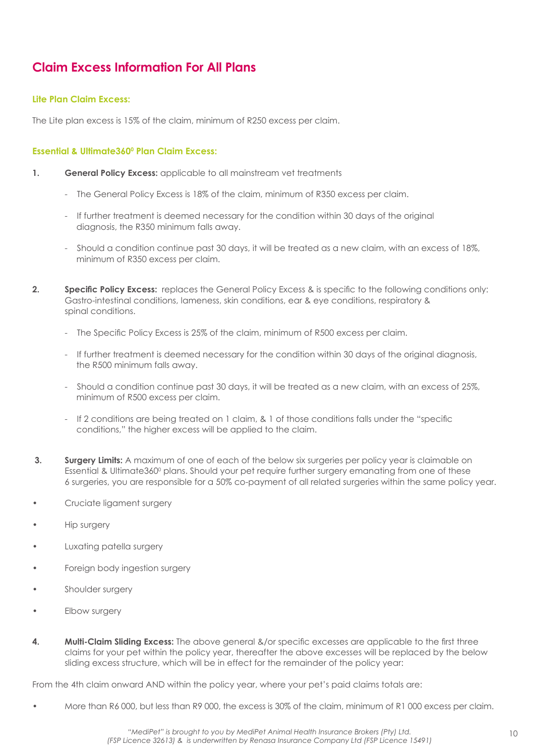## <span id="page-10-0"></span>**Claim Excess Information For All Plans**

### **Lite Plan Claim Excess:**

The Lite plan excess is 15% of the claim, minimum of R250 excess per claim.

## **Essential & Ultimate360<sup>°</sup> Plan Claim Excess:**

- **1. General Policy Excess:** applicable to all mainstream vet treatments
	- The General Policy Excess is 18% of the claim, minimum of R350 excess per claim.
	- If further treatment is deemed necessary for the condition within 30 days of the original diagnosis, the R350 minimum falls away.
	- Should a condition continue past 30 days, it will be treated as a new claim, with an excess of 18%, minimum of R350 excess per claim.
- **2. Specific Policy Excess:** replaces the General Policy Excess & is specific to the following conditions only: Gastro-intestinal conditions, lameness, skin conditions, ear & eye conditions, respiratory & spinal conditions.
	- The Specific Policy Excess is 25% of the claim, minimum of R500 excess per claim.
	- If further treatment is deemed necessary for the condition within 30 days of the original diagnosis, the R500 minimum falls away.
	- Should a condition continue past 30 days, it will be treated as a new claim, with an excess of 25%, minimum of R500 excess per claim.
	- If 2 conditions are being treated on 1 claim, & 1 of those conditions falls under the "specific conditions," the higher excess will be applied to the claim.
- **3. Surgery Limits:** A maximum of one of each of the below six surgeries per policy year is claimable on Essential & Ultimate360° plans. Should your pet require further surgery emanating from one of these 6 surgeries, you are responsible for a 50% co-payment of all related surgeries within the same policy year.
- Cruciate ligament surgery
- Hip surgery
- Luxating patella surgery
- Foreign body ingestion surgery
- Shoulder surgery
- Elbow surgery
- **4. Multi-Claim Sliding Excess:** The above general &/or specific excesses are applicable to the first three claims for your pet within the policy year, thereafter the above excesses will be replaced by the below sliding excess structure, which will be in effect for the remainder of the policy year:

From the 4th claim onward AND within the policy year, where your pet's paid claims totals are:

• More than R6 000, but less than R9 000, the excess is 30% of the claim, minimum of R1 000 excess per claim.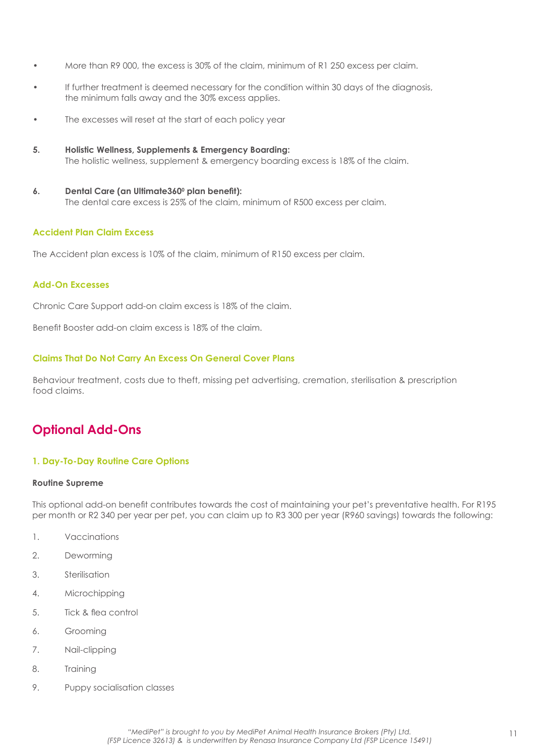- <span id="page-11-0"></span>• More than R9 000, the excess is 30% of the claim, minimum of R1 250 excess per claim.
- If further treatment is deemed necessary for the condition within 30 days of the diagnosis, the minimum falls away and the 30% excess applies.
- The excesses will reset at the start of each policy year
- **5. Holistic Wellness, Supplements & Emergency Boarding:**  The holistic wellness, supplement & emergency boarding excess is 18% of the claim.
- **6.** Dental Care (an Ultimate360<sup>°</sup> plan benefit): The dental care excess is 25% of the claim, minimum of R500 excess per claim.

### **Accident Plan Claim Excess**

The Accident plan excess is 10% of the claim, minimum of R150 excess per claim.

### **Add-On Excesses**

Chronic Care Support add-on claim excess is 18% of the claim.

Benefit Booster add-on claim excess is 18% of the claim.

### **Claims That Do Not Carry An Excess On General Cover Plans**

Behaviour treatment, costs due to theft, missing pet advertising, cremation, sterilisation & prescription food claims.

## **Optional Add-Ons**

### **1. Day-To-Day Routine Care Options**

#### **Routine Supreme**

This optional add-on benefit contributes towards the cost of maintaining your pet's preventative health. For R195 per month or R2 340 per year per pet, you can claim up to R3 300 per year (R960 savings) towards the following:

- 1. Vaccinations
- 2. Deworming
- 3. Sterilisation
- 4. Microchipping
- 5. Tick & flea control
- 6. Grooming
- 7. Nail-clipping
- 8. Training
- 9. Puppy socialisation classes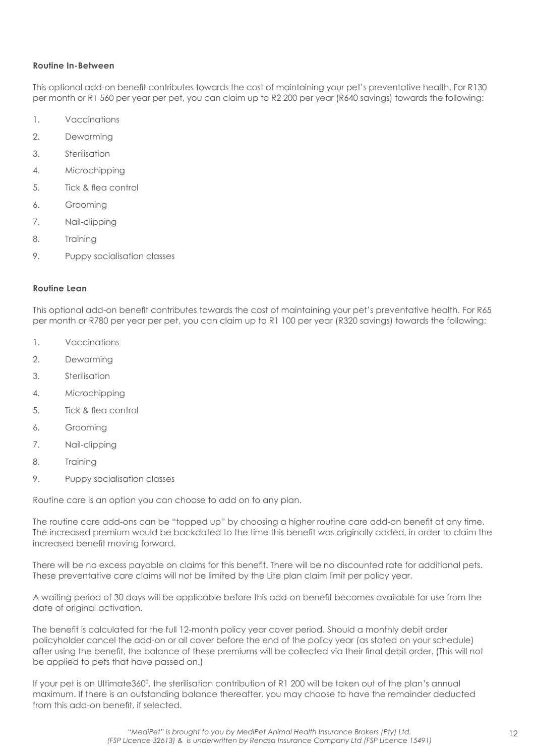### **Routine In-Between**

This optional add-on benefit contributes towards the cost of maintaining your pet's preventative health. For R130 per month or R1 560 per year per pet, you can claim up to R2 200 per year (R640 savings) towards the following:

- 1. Vaccinations
- 2. Deworming
- 3. Sterilisation
- 4. Microchipping
- 5. Tick & flea control
- 6. Grooming
- 7. Nail-clipping
- 8. Training
- 9. Puppy socialisation classes

### **Routine Lean**

This optional add-on benefit contributes towards the cost of maintaining your pet's preventative health. For R65 per month or R780 per year per pet, you can claim up to R1 100 per year (R320 savings) towards the following:

- 1. Vaccinations
- 2. Deworming
- 3. Sterilisation
- 4. Microchipping
- 5. Tick & flea control
- 6. Grooming
- 7. Nail-clipping
- 8. Training
- 9. Puppy socialisation classes

Routine care is an option you can choose to add on to any plan.

The routine care add-ons can be "topped up" by choosing a higher routine care add-on benefit at any time. The increased premium would be backdated to the time this benefit was originally added, in order to claim the increased benefit moving forward.

There will be no excess payable on claims for this benefit. There will be no discounted rate for additional pets. These preventative care claims will not be limited by the Lite plan claim limit per policy year.

A waiting period of 30 days will be applicable before this add-on benefit becomes available for use from the date of original activation.

The benefit is calculated for the full 12-month policy year cover period. Should a monthly debit order policyholder cancel the add-on or all cover before the end of the policy year (as stated on your schedule) after using the benefit, the balance of these premiums will be collected via their final debit order. (This will not be applied to pets that have passed on.)

If your pet is on Ultimate360°, the sterilisation contribution of R1 200 will be taken out of the plan's annual maximum. If there is an outstanding balance thereafter, you may choose to have the remainder deducted from this add-on benefit, if selected.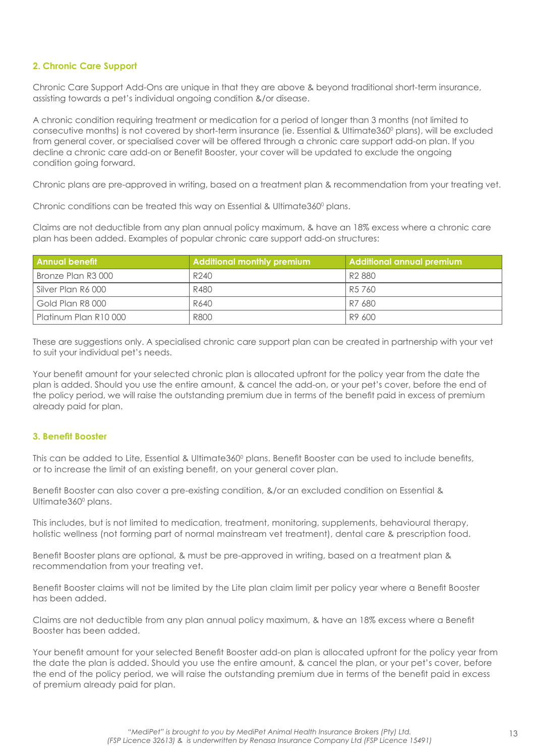## **2. Chronic Care Support**

Chronic Care Support Add-Ons are unique in that they are above & beyond traditional short-term insurance, assisting towards a pet's individual ongoing condition &/or disease.

A chronic condition requiring treatment or medication for a period of longer than 3 months (not limited to consecutive months) is not covered by short-term insurance (ie. Essential & Ultimate360° plans), will be excluded from general cover, or specialised cover will be offered through a chronic care support add-on plan. If you decline a chronic care add-on or Benefit Booster, your cover will be updated to exclude the ongoing condition going forward.

Chronic plans are pre-approved in writing, based on a treatment plan & recommendation from your treating vet.

Chronic conditions can be treated this way on Essential & Ultimate360 $^{\circ}$  plans.

Claims are not deductible from any plan annual policy maximum, & have an 18% excess where a chronic care plan has been added. Examples of popular chronic care support add-on structures:

| l Annual benefit      | <b>Additional monthly premium</b> | <b>Additional annual premium</b> |
|-----------------------|-----------------------------------|----------------------------------|
| Bronze Plan R3 000    | R240                              | R <sub>2</sub> 880               |
| Silver Plan R6 000    | R480                              | R5 760                           |
| Gold Plan R8 000      | R640                              | R7 680                           |
| Platinum Plan R10 000 | R800                              | R9 600                           |

These are suggestions only. A specialised chronic care support plan can be created in partnership with your vet to suit your individual pet's needs.

Your benefit amount for your selected chronic plan is allocated upfront for the policy year from the date the plan is added. Should you use the entire amount, & cancel the add-on, or your pet's cover, before the end of the policy period, we will raise the outstanding premium due in terms of the benefit paid in excess of premium already paid for plan.

## **3. Benefit Booster**

This can be added to Lite, Essential & Ultimate360º plans. Benefit Booster can be used to include benefits, or to increase the limit of an existing benefit, on your general cover plan.

Benefit Booster can also cover a pre-existing condition, &/or an excluded condition on Essential & Ultimate360<sup>°</sup> plans.

This includes, but is not limited to medication, treatment, monitoring, supplements, behavioural therapy, holistic wellness (not forming part of normal mainstream vet treatment), dental care & prescription food.

Benefit Booster plans are optional, & must be pre-approved in writing, based on a treatment plan & recommendation from your treating vet.

Benefit Booster claims will not be limited by the Lite plan claim limit per policy year where a Benefit Booster has been added.

Claims are not deductible from any plan annual policy maximum, & have an 18% excess where a Benefit Booster has been added.

Your benefit amount for your selected Benefit Booster add-on plan is allocated upfront for the policy year from the date the plan is added. Should you use the entire amount, & cancel the plan, or your pet's cover, before the end of the policy period, we will raise the outstanding premium due in terms of the benefit paid in excess of premium already paid for plan.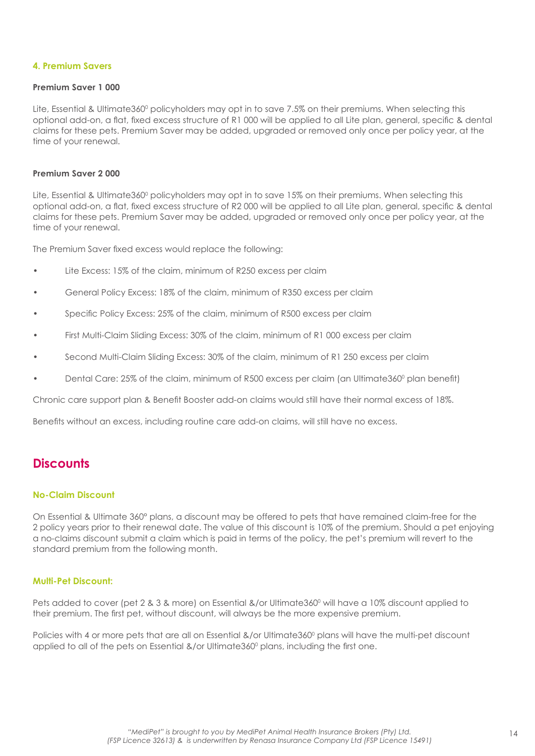### <span id="page-14-0"></span>**4. Premium Savers**

#### **Premium Saver 1 000**

Lite, Essential & Ultimate360º policyholders may opt in to save 7.5% on their premiums. When selecting this optional add-on, a flat, fixed excess structure of R1 000 will be applied to all Lite plan, general, specific & dental claims for these pets. Premium Saver may be added, upgraded or removed only once per policy year, at the time of your renewal.

### **Premium Saver 2 000**

Lite, Essential & Ultimate360º policyholders may opt in to save 15% on their premiums. When selecting this optional add-on, a flat, fixed excess structure of R2 000 will be applied to all Lite plan, general, specific & dental claims for these pets. Premium Saver may be added, upgraded or removed only once per policy year, at the time of your renewal.

The Premium Saver fixed excess would replace the following:

- Lite Excess: 15% of the claim, minimum of R250 excess per claim
- General Policy Excess: 18% of the claim, minimum of R350 excess per claim
- Specific Policy Excess: 25% of the claim, minimum of R500 excess per claim
- First Multi-Claim Sliding Excess: 30% of the claim, minimum of R1 000 excess per claim
- Second Multi-Claim Sliding Excess: 30% of the claim, minimum of R1 250 excess per claim
- Dental Care: 25% of the claim, minimum of R500 excess per claim (an Ultimate360° plan benefit)

Chronic care support plan & Benefit Booster add-on claims would still have their normal excess of 18%.

Benefits without an excess, including routine care add-on claims, will still have no excess.

## **Discounts**

### **No-Claim Discount**

On Essential & Ultimate 360° plans, a discount may be offered to pets that have remained claim-free for the 2 policy years prior to their renewal date. The value of this discount is 10% of the premium. Should a pet enjoying a no-claims discount submit a claim which is paid in terms of the policy, the pet's premium will revert to the standard premium from the following month.

#### **Multi-Pet Discount:**

Pets added to cover (pet 2 & 3 & more) on Essential &/or Ultimate360° will have a 10% discount applied to their premium. The first pet, without discount, will always be the more expensive premium.

Policies with 4 or more pets that are all on Essential &/or Ultimate360° plans will have the multi-pet discount applied to all of the pets on Essential &/or Ultimate360 $^{\circ}$  plans, including the first one.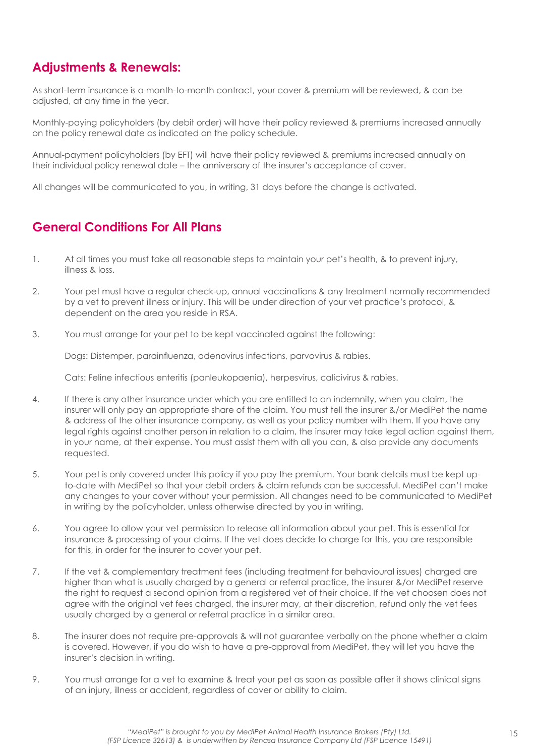## <span id="page-15-0"></span>**Adjustments & Renewals:**

As short-term insurance is a month-to-month contract, your cover & premium will be reviewed, & can be adjusted, at any time in the year.

Monthly-paying policyholders (by debit order) will have their policy reviewed & premiums increased annually on the policy renewal date as indicated on the policy schedule.

Annual-payment policyholders (by EFT) will have their policy reviewed & premiums increased annually on their individual policy renewal date – the anniversary of the insurer's acceptance of cover.

All changes will be communicated to you, in writing, 31 days before the change is activated.

## **General Conditions For All Plans**

- 1. At all times you must take all reasonable steps to maintain your pet's health, & to prevent injury, illness & loss.
- 2. Your pet must have a regular check-up, annual vaccinations & any treatment normally recommended by a vet to prevent illness or injury. This will be under direction of your vet practice's protocol, & dependent on the area you reside in RSA.
- 3. You must arrange for your pet to be kept vaccinated against the following:

Dogs: Distemper, parainfluenza, adenovirus infections, parvovirus & rabies.

Cats: Feline infectious enteritis (panleukopaenia), herpesvirus, calicivirus & rabies.

- 4. If there is any other insurance under which you are entitled to an indemnity, when you claim, the insurer will only pay an appropriate share of the claim. You must tell the insurer &/or MediPet the name & address of the other insurance company, as well as your policy number with them. If you have any legal rights against another person in relation to a claim, the insurer may take legal action against them, in your name, at their expense. You must assist them with all you can, & also provide any documents requested.
- 5. Your pet is only covered under this policy if you pay the premium. Your bank details must be kept upto-date with MediPet so that your debit orders & claim refunds can be successful. MediPet can't make any changes to your cover without your permission. All changes need to be communicated to MediPet in writing by the policyholder, unless otherwise directed by you in writing.
- 6. You agree to allow your vet permission to release all information about your pet. This is essential for insurance & processing of your claims. If the vet does decide to charge for this, you are responsible for this, in order for the insurer to cover your pet.
- 7. If the vet & complementary treatment fees (including treatment for behavioural issues) charged are higher than what is usually charged by a general or referral practice, the insurer &/or MediPet reserve the right to request a second opinion from a registered vet of their choice. If the vet choosen does not agree with the original vet fees charged, the insurer may, at their discretion, refund only the vet fees usually charged by a general or referral practice in a similar area.
- 8. The insurer does not require pre-approvals & will not guarantee verbally on the phone whether a claim is covered. However, if you do wish to have a pre-approval from MediPet, they will let you have the insurer's decision in writing.
- 9. You must arrange for a vet to examine & treat your pet as soon as possible after it shows clinical signs of an injury, illness or accident, regardless of cover or ability to claim.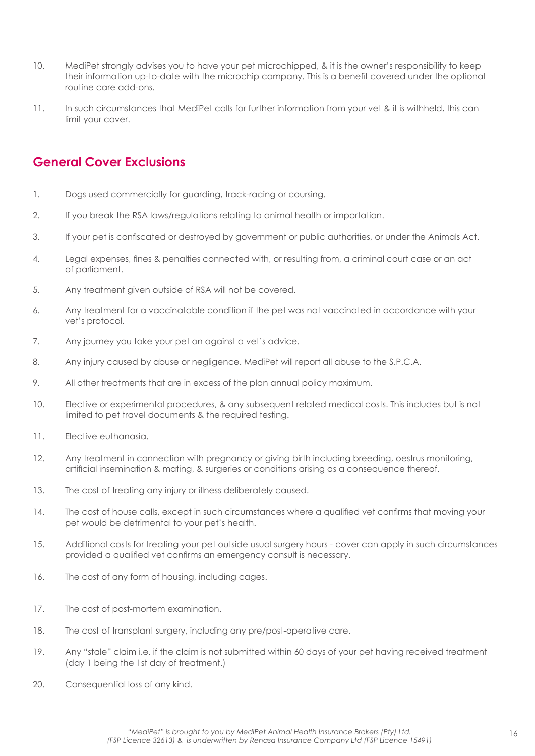- <span id="page-16-0"></span>10. MediPet strongly advises you to have your pet microchipped, & it is the owner's responsibility to keep their information up-to-date with the microchip company. This is a benefit covered under the optional routine care add-ons.
- 11. In such circumstances that MediPet calls for further information from your vet & it is withheld, this can limit your cover.

## **General Cover Exclusions**

- 1. Dogs used commercially for guarding, track-racing or coursing.
- 2. If you break the RSA laws/regulations relating to animal health or importation.
- 3. If your pet is confiscated or destroyed by government or public authorities, or under the Animals Act.
- 4. Legal expenses, fines & penalties connected with, or resulting from, a criminal court case or an act of parliament.
- 5. Any treatment given outside of RSA will not be covered.
- 6. Any treatment for a vaccinatable condition if the pet was not vaccinated in accordance with your vet's protocol.
- 7. Any journey you take your pet on against a vet's advice.
- 8. Any injury caused by abuse or negligence. MediPet will report all abuse to the S.P.C.A.
- 9. All other treatments that are in excess of the plan annual policy maximum.
- 10. Elective or experimental procedures, & any subsequent related medical costs. This includes but is not limited to pet travel documents & the required testing.
- 11. Elective euthanasia.
- 12. Any treatment in connection with pregnancy or giving birth including breeding, oestrus monitoring, artificial insemination & mating, & surgeries or conditions arising as a consequence thereof.
- 13. The cost of treating any injury or illness deliberately caused.
- 14. The cost of house calls, except in such circumstances where a qualified vet confirms that moving your pet would be detrimental to your pet's health.
- 15. Additional costs for treating your pet outside usual surgery hours cover can apply in such circumstances provided a qualified vet confirms an emergency consult is necessary.
- 16. The cost of any form of housing, including cages.
- 17. The cost of post-mortem examination.
- 18. The cost of transplant surgery, including any pre/post-operative care.
- 19. Any "stale" claim i.e. if the claim is not submitted within 60 days of your pet having received treatment (day 1 being the 1st day of treatment.)
- 20. Consequential loss of any kind.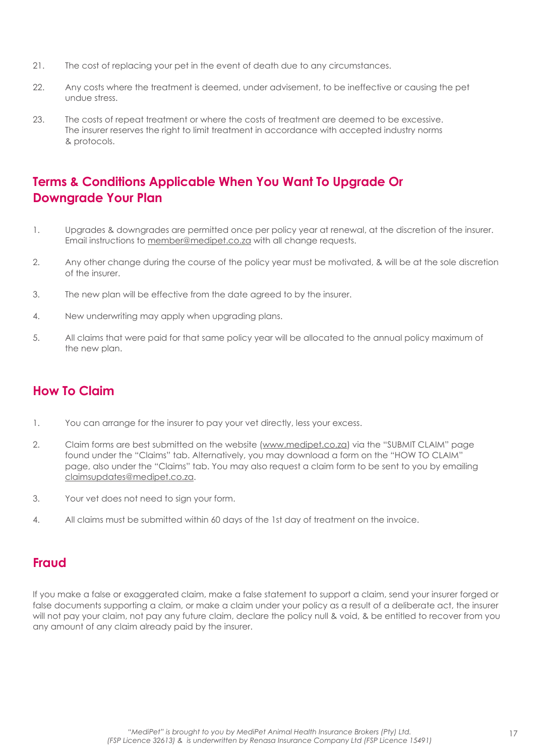- <span id="page-17-0"></span>21. The cost of replacing your pet in the event of death due to any circumstances.
- 22. Any costs where the treatment is deemed, under advisement, to be ineffective or causing the pet undue stress.
- 23. The costs of repeat treatment or where the costs of treatment are deemed to be excessive. The insurer reserves the right to limit treatment in accordance with accepted industry norms & protocols.

## **Terms & Conditions Applicable When You Want To Upgrade Or Downgrade Your Plan**

- 1. Upgrades & downgrades are permitted once per policy year at renewal, at the discretion of the insurer. Email instructions to member@medipet.co.za with all change requests.
- 2. Any other change during the course of the policy year must be motivated, & will be at the sole discretion of the insurer.
- 3. The new plan will be effective from the date agreed to by the insurer.
- 4. New underwriting may apply when upgrading plans.
- 5. All claims that were paid for that same policy year will be allocated to the annual policy maximum of the new plan.

## **How To Claim**

- 1. You can arrange for the insurer to pay your vet directly, less your excess.
- 2. Claim forms are best submitted on the website (www.medipet.co.za) via the "SUBMIT CLAIM" page found under the "Claims" tab. Alternatively, you may download a form on the "HOW TO CLAIM" page, also under the "Claims" tab. You may also request a claim form to be sent to you by emailing claimsupdates@medipet.co.za.
- 3. Your vet does not need to sign your form.
- 4. All claims must be submitted within 60 days of the 1st day of treatment on the invoice.

## **Fraud**

If you make a false or exaggerated claim, make a false statement to support a claim, send your insurer forged or false documents supporting a claim, or make a claim under your policy as a result of a deliberate act, the insurer will not pay your claim, not pay any future claim, declare the policy null & void, & be entitled to recover from you any amount of any claim already paid by the insurer.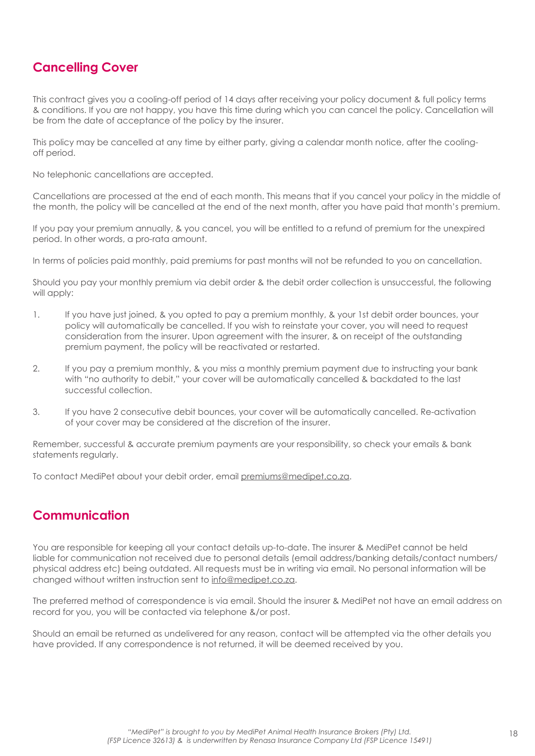## <span id="page-18-0"></span>**Cancelling Cover**

This contract gives you a cooling-off period of 14 days after receiving your policy document & full policy terms & conditions. If you are not happy, you have this time during which you can cancel the policy. Cancellation will be from the date of acceptance of the policy by the insurer.

This policy may be cancelled at any time by either party, giving a calendar month notice, after the coolingoff period.

No telephonic cancellations are accepted.

Cancellations are processed at the end of each month. This means that if you cancel your policy in the middle of the month, the policy will be cancelled at the end of the next month, after you have paid that month's premium.

If you pay your premium annually, & you cancel, you will be entitled to a refund of premium for the unexpired period. In other words, a pro-rata amount.

In terms of policies paid monthly, paid premiums for past months will not be refunded to you on cancellation.

Should you pay your monthly premium via debit order & the debit order collection is unsuccessful, the following will apply:

- 1. If you have just joined, & you opted to pay a premium monthly, & your 1st debit order bounces, your policy will automatically be cancelled. If you wish to reinstate your cover, you will need to request consideration from the insurer. Upon agreement with the insurer, & on receipt of the outstanding premium payment, the policy will be reactivated or restarted.
- 2. If you pay a premium monthly, & you miss a monthly premium payment due to instructing your bank with "no authority to debit," your cover will be automatically cancelled & backdated to the last successful collection.
- 3. If you have 2 consecutive debit bounces, your cover will be automatically cancelled. Re-activation of your cover may be considered at the discretion of the insurer.

Remember, successful & accurate premium payments are your responsibility, so check your emails & bank statements regularly.

To contact MediPet about your debit order, email premiums@medipet.co.za.

## **Communication**

You are responsible for keeping all your contact details up-to-date. The insurer & MediPet cannot be held liable for communication not received due to personal details (email address/banking details/contact numbers/ physical address etc) being outdated. All requests must be in writing via email. No personal information will be changed without written instruction sent to info@medipet.co.za.

The preferred method of correspondence is via email. Should the insurer & MediPet not have an email address on record for you, you will be contacted via telephone &/or post.

Should an email be returned as undelivered for any reason, contact will be attempted via the other details you have provided. If any correspondence is not returned, it will be deemed received by you.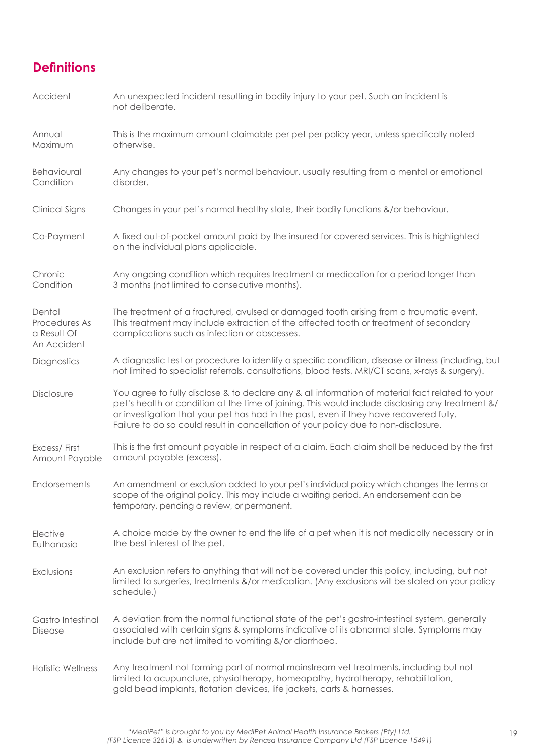## <span id="page-19-0"></span>**Definitions**

| Accident                                              | An unexpected incident resulting in bodily injury to your pet. Such an incident is<br>not deliberate.                                                                                                                                                                                                                                                                                |
|-------------------------------------------------------|--------------------------------------------------------------------------------------------------------------------------------------------------------------------------------------------------------------------------------------------------------------------------------------------------------------------------------------------------------------------------------------|
| Annual<br>Maximum                                     | This is the maximum amount claimable per pet per policy year, unless specifically noted<br>otherwise.                                                                                                                                                                                                                                                                                |
| Behavioural<br>Condition                              | Any changes to your pet's normal behaviour, usually resulting from a mental or emotional<br>disorder.                                                                                                                                                                                                                                                                                |
| Clinical Signs                                        | Changes in your pet's normal healthy state, their bodily functions &/or behaviour.                                                                                                                                                                                                                                                                                                   |
| Co-Payment                                            | A fixed out-of-pocket amount paid by the insured for covered services. This is highlighted<br>on the individual plans applicable.                                                                                                                                                                                                                                                    |
| Chronic<br>Condition                                  | Any ongoing condition which requires treatment or medication for a period longer than<br>3 months (not limited to consecutive months).                                                                                                                                                                                                                                               |
| Dental<br>Procedures As<br>a Result Of<br>An Accident | The treatment of a fractured, avulsed or damaged tooth arising from a traumatic event.<br>This treatment may include extraction of the affected tooth or treatment of secondary<br>complications such as infection or abscesses.                                                                                                                                                     |
| Diagnostics                                           | A diagnostic test or procedure to identify a specific condition, disease or illness (including, but<br>not limited to specialist referrals, consultations, blood tests, MRI/CT scans, x-rays & surgery).                                                                                                                                                                             |
| Disclosure                                            | You agree to fully disclose & to declare any & all information of material fact related to your<br>pet's health or condition at the time of joining. This would include disclosing any treatment &/<br>or investigation that your pet has had in the past, even if they have recovered fully.<br>Failure to do so could result in cancellation of your policy due to non-disclosure. |
| Excess/First<br>Amount Payable                        | This is the first amount payable in respect of a claim. Each claim shall be reduced by the first<br>amount payable (excess).                                                                                                                                                                                                                                                         |
| Endorsements                                          | An amendment or exclusion added to your pet's individual policy which changes the terms or<br>scope of the original policy. This may include a waiting period. An endorsement can be<br>temporary, pending a review, or permanent.                                                                                                                                                   |
| Elective<br>Euthanasia                                | A choice made by the owner to end the life of a pet when it is not medically necessary or in<br>the best interest of the pet.                                                                                                                                                                                                                                                        |
| Exclusions                                            | An exclusion refers to anything that will not be covered under this policy, including, but not<br>limited to surgeries, treatments &/or medication. (Any exclusions will be stated on your policy<br>schedule.)                                                                                                                                                                      |
| Gastro Intestinal<br>Disease                          | A deviation from the normal functional state of the pet's gastro-intestinal system, generally<br>associated with certain signs & symptoms indicative of its abnormal state. Symptoms may<br>include but are not limited to vomiting &/or diarrhoea.                                                                                                                                  |
| <b>Holistic Wellness</b>                              | Any treatment not forming part of normal mainstream vet treatments, including but not<br>limited to acupuncture, physiotherapy, homeopathy, hydrotherapy, rehabilitation,<br>gold bead implants, flotation devices, life jackets, carts & harnesses.                                                                                                                                 |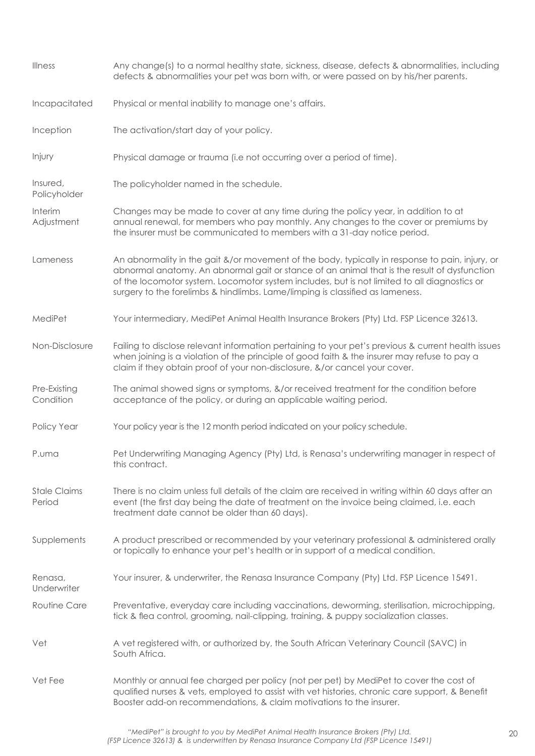| <b>Illness</b>                | Any change(s) to a normal healthy state, sickness, disease, defects & abnormalities, including<br>defects & abnormalities your pet was born with, or were passed on by his/her parents.                                                                                                                                                                                         |  |  |  |  |
|-------------------------------|---------------------------------------------------------------------------------------------------------------------------------------------------------------------------------------------------------------------------------------------------------------------------------------------------------------------------------------------------------------------------------|--|--|--|--|
| Incapacitated                 | Physical or mental inability to manage one's affairs.                                                                                                                                                                                                                                                                                                                           |  |  |  |  |
| Inception                     | The activation/start day of your policy.                                                                                                                                                                                                                                                                                                                                        |  |  |  |  |
| Injury                        | Physical damage or trauma (i.e not occurring over a period of time).                                                                                                                                                                                                                                                                                                            |  |  |  |  |
| Insured,<br>Policyholder      | The policyholder named in the schedule.                                                                                                                                                                                                                                                                                                                                         |  |  |  |  |
| Interim<br>Adjustment         | Changes may be made to cover at any time during the policy year, in addition to at<br>annual renewal, for members who pay monthly. Any changes to the cover or premiums by<br>the insurer must be communicated to members with a 31-day notice period.                                                                                                                          |  |  |  |  |
| Lameness                      | An abnormality in the gait &/or movement of the body, typically in response to pain, injury, or<br>abnormal anatomy. An abnormal gait or stance of an animal that is the result of dysfunction<br>of the locomotor system. Locomotor system includes, but is not limited to all diagnostics or<br>surgery to the forelimbs & hindlimbs. Lame/limping is classified as lameness. |  |  |  |  |
| MediPet                       | Your intermediary, MediPet Animal Health Insurance Brokers (Pty) Ltd. FSP Licence 32613.                                                                                                                                                                                                                                                                                        |  |  |  |  |
| Non-Disclosure                | Failing to disclose relevant information pertaining to your pet's previous & current health issues<br>when joining is a violation of the principle of good faith & the insurer may refuse to pay a<br>claim if they obtain proof of your non-disclosure, &/or cancel your cover.                                                                                                |  |  |  |  |
| Pre-Existing<br>Condition     | The animal showed signs or symptoms, &/or received treatment for the condition before<br>acceptance of the policy, or during an applicable waiting period.                                                                                                                                                                                                                      |  |  |  |  |
| Policy Year                   | Your policy year is the 12 month period indicated on your policy schedule.                                                                                                                                                                                                                                                                                                      |  |  |  |  |
| P.uma                         | Pet Underwriting Managing Agency (Pty) Ltd, is Renasa's underwriting manager in respect of<br>this contract.                                                                                                                                                                                                                                                                    |  |  |  |  |
| <b>Stale Claims</b><br>Period | There is no claim unless full details of the claim are received in writing within 60 days after an<br>event (the first day being the date of treatment on the invoice being claimed, i.e. each<br>treatment date cannot be older than 60 days).                                                                                                                                 |  |  |  |  |
| Supplements                   | A product prescribed or recommended by your veterinary professional & administered orally<br>or topically to enhance your pet's health or in support of a medical condition.                                                                                                                                                                                                    |  |  |  |  |
| Renasa,<br>Underwriter        | Your insurer, & underwriter, the Renasa Insurance Company (Pty) Ltd. FSP Licence 15491.                                                                                                                                                                                                                                                                                         |  |  |  |  |
| Routine Care                  | Preventative, everyday care including vaccinations, deworming, sterilisation, microchipping,<br>tick & flea control, grooming, nail-clipping, training, & puppy socialization classes.                                                                                                                                                                                          |  |  |  |  |
| Vet                           | A vet registered with, or authorized by, the South African Veterinary Council (SAVC) in<br>South Africa.                                                                                                                                                                                                                                                                        |  |  |  |  |
| Vet Fee                       | Monthly or annual fee charged per policy (not per pet) by MediPet to cover the cost of<br>qualified nurses & vets, employed to assist with vet histories, chronic care support, & Benefit<br>Booster add-on recommendations, & claim motivations to the insurer.                                                                                                                |  |  |  |  |